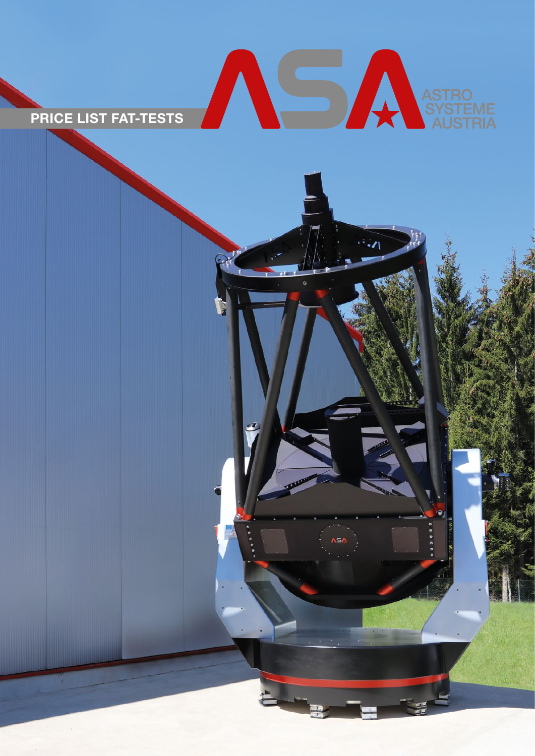

PRICE LIST FAT-TESTS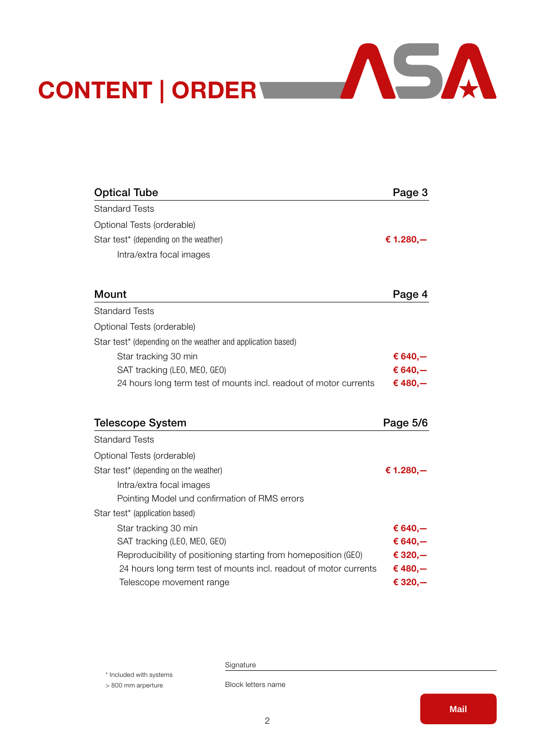

| <b>Optical Tube</b>                                               | Page 3       |
|-------------------------------------------------------------------|--------------|
| <b>Standard Tests</b>                                             |              |
| Optional Tests (orderable)                                        |              |
| Star test* (depending on the weather)                             | € 1.280, $-$ |
| Intra/extra focal images                                          |              |
| Mount                                                             | Page 4       |
| <b>Standard Tests</b>                                             |              |
| Optional Tests (orderable)                                        |              |
| Star test* (depending on the weather and application based)       |              |
| Star tracking 30 min                                              | € 640, $-$   |
| SAT tracking (LEO, MEO, GEO)                                      | € 640, $-$   |
| 24 hours long term test of mounts incl. readout of motor currents | € 480, $-$   |
|                                                                   |              |
| <b>Telescope System</b>                                           | Page 5/6     |
| <b>Standard Tests</b>                                             |              |
| Optional Tests (orderable)                                        |              |
| Star test* (depending on the weather)                             | € 1.280,-    |
| Intra/extra focal images                                          |              |
| Pointing Model und confirmation of RMS errors                     |              |
| Star test* (application based)                                    |              |
| Star tracking 30 min                                              | € 640,—      |
| SAT tracking (LEO, MEO, GEO)                                      | € 640, $-$   |
| Reproducibility of positioning starting from homeposition (GEO)   | € 320,-      |
| 24 hours long term test of mounts incl. readout of motor currents | € 480, $-$   |
| Telescope movement range                                          | € 320,—      |

Signature

\* Included with systems

CONTENT | ORDER

> 800 mm arperture

Block letters name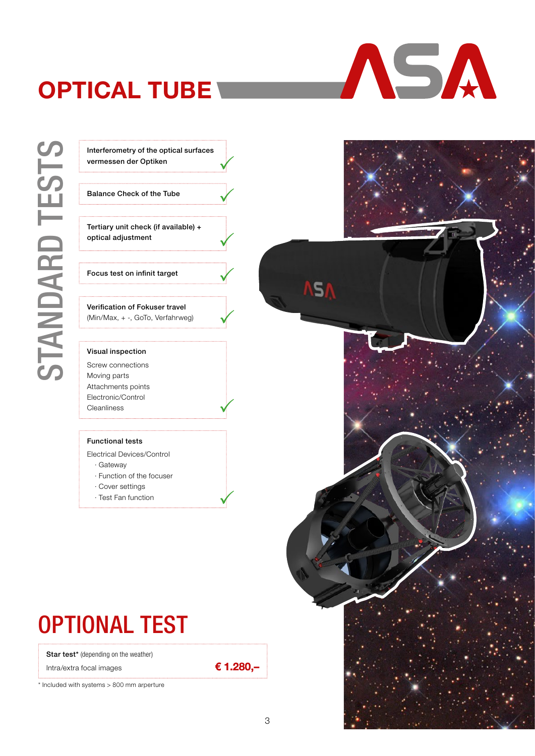## <span id="page-2-0"></span>**OPTICAL TUBE**





Balance Check of the Tube

Tertiary unit check (if available) + optical adjustment

Focus test on infinit target

Verification of Fokuser travel (Min/Max, + -, GoTo, Verfahrweg)

#### Visual inspection

Screw connections Moving parts Attachments points Electronic/Control Cleanliness

#### Functional tests

- Electrical Devices/Control · Gateway
- · Function of the focuser
- · Cover settings
- · Test Fan function
- 

## OPTIONAL TEST

Star test\* (depending on the weather)

Intra/extra focal images

\* Included with systems > 800 mm arperture



ASA

€ 1.280,–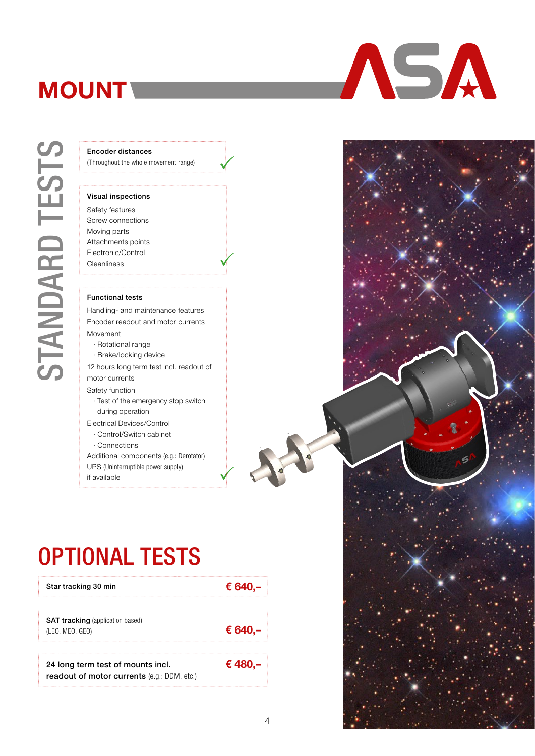## <span id="page-3-0"></span>**MOUNT**

(Throughout the whole movement range)

#### Visual inspections

Encoder distances<br>
(Throughout the whole m<br>
Stand inspections<br>
Stand inspections<br>
Standing parts<br>
Attachments points<br>
Electronic/Control<br>
Cleanliness<br>
Functional tests<br>
Handling- and maint<br>
Encoder readout and<br>
Movement<br>
B Safety features Screw connections Moving parts Attachments points Electronic/Control Cleanliness

#### Functional tests

Handling- and maintenance features Encoder readout and motor currents Movement

- · Rotational range
- · Brake/locking device

12 hours long term test incl. readout of motor currents

Safety function

- · Test of the emergency stop switch during operation
- Electrical Devices/Control
- · Control/Switch cabinet

· Connections

OPTIONAL TESTS

24 long term test of mounts incl. readout of motor currents (e.g.: DDM, etc.)

SAT tracking (application based)

Additional components (e.g.: Derotator) UPS (Uninterruptible power supply)

if available



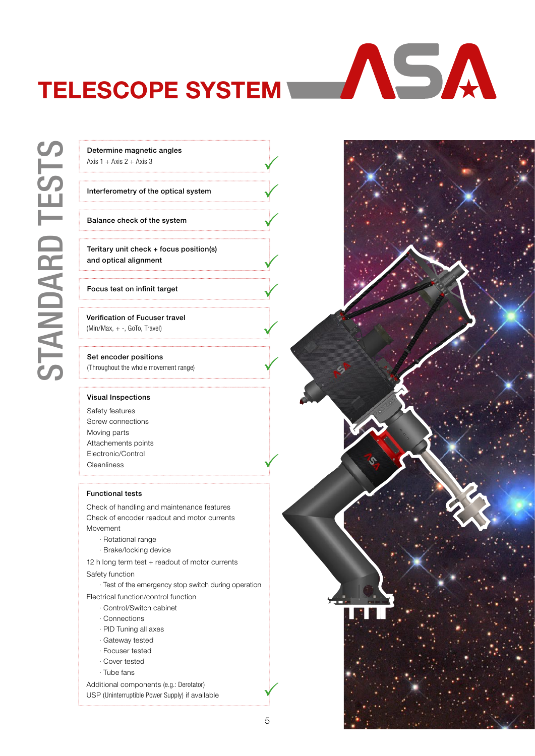## <span id="page-4-0"></span>TELESCOPE SYSTEM

Determine magnetic angles<br>
Axis 1 + Axis 2 + Axis 3<br>
Interferometry of the optica<br>
Balance check of the system<br>
Teritary unit check + focus and optical alignment<br>
Focus test on infinit target<br>
Verification of Fucuser trave

Axis  $1 +$  Axis  $2 +$  Axis 3

#### Interferometry of the optical system

Balance check of the system

Teritary unit check + focus position(s) and optical alignment

#### Focus test on infinit target

Verification of Fucuser travel (Min/Max, + -, GoTo, Travel)

#### Set encoder positions

(Throughout the whole movement range)

#### Visual Inspections

Safety features Screw connections Moving parts Attachements points Electronic/Control Cleanliness

#### Functional tests

Check of handling and maintenance features Check of encoder readout and motor currents Movement

- · Rotational range
- · Brake/locking device
- 12 h long term test + readout of motor currents

#### Safety function

· Test of the emergency stop switch during operation Electrical function/control function

- · Control/Switch cabinet
- · Connections
- · PID Tuning all axes
- · Gateway tested
- · Focuser tested
- · Cover tested
- · Tube fans

Additional components (e.g.: Derotator) USP (Uninterruptible Power Supply) if available



ASA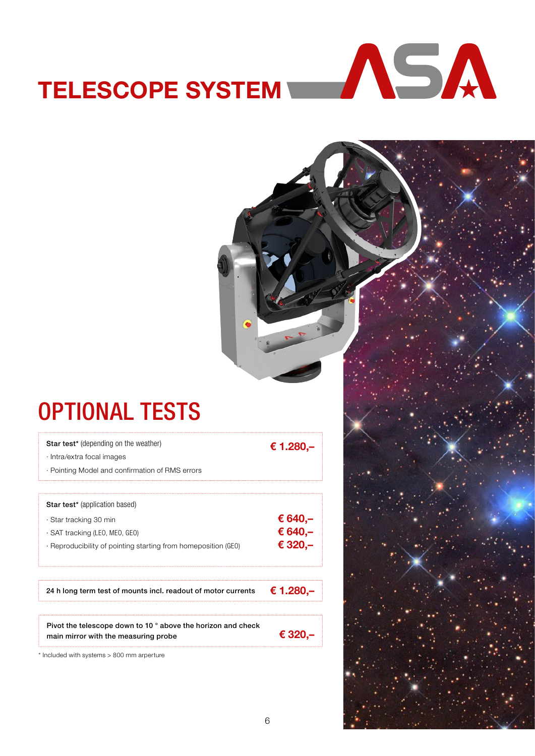# TELESCOPE SYSTEM

## OPTIONAL TESTS

| <b>Star test*</b> (depending on the weather)                   | € 1.280,– |
|----------------------------------------------------------------|-----------|
| $\cdot$ Intra/extra focal images                               |           |
| · Pointing Model and confirmation of RMS errors                |           |
|                                                                |           |
| <b>Star test</b> * (application based)                         |           |
| · Star tracking 30 min                                         | € 640,–   |
| · SAT tracking (LEO, MEO, GEO)                                 | € 640,-   |
| · Reproducibility of pointing starting from homeposition (GEO) | € 320.-   |
|                                                                |           |
| 24 h long term test of mounts incl. readout of motor currents  | € 1.280,– |
|                                                                |           |

Pivot the telescope down to 10 ° above the horizon and check main mirror with the measuring probe

\* Included with systems > 800 mm arperture

€ 320,–

6